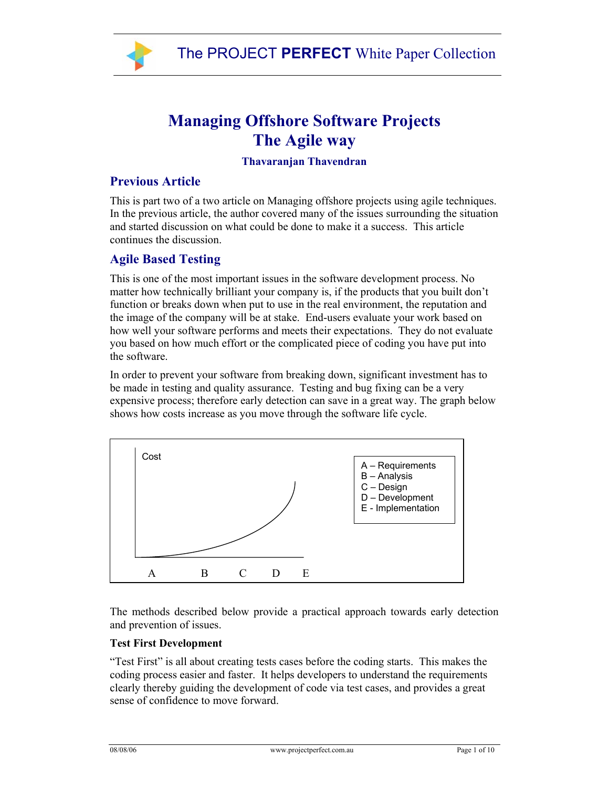

# **Managing Offshore Software Projects The Agile way**

## **Thavaranjan Thavendran**

## **Previous Article**

This is part two of a two article on Managing offshore projects using agile techniques. In the previous article, the author covered many of the issues surrounding the situation and started discussion on what could be done to make it a success. This article continues the discussion.

## **Agile Based Testing**

This is one of the most important issues in the software development process. No matter how technically brilliant your company is, if the products that you built don't function or breaks down when put to use in the real environment, the reputation and the image of the company will be at stake. End-users evaluate your work based on how well your software performs and meets their expectations. They do not evaluate you based on how much effort or the complicated piece of coding you have put into the software.

In order to prevent your software from breaking down, significant investment has to be made in testing and quality assurance. Testing and bug fixing can be a very expensive process; therefore early detection can save in a great way. The graph below shows how costs increase as you move through the software life cycle.



The methods described below provide a practical approach towards early detection and prevention of issues.

## **Test First Development**

"Test First" is all about creating tests cases before the coding starts. This makes the coding process easier and faster. It helps developers to understand the requirements clearly thereby guiding the development of code via test cases, and provides a great sense of confidence to move forward.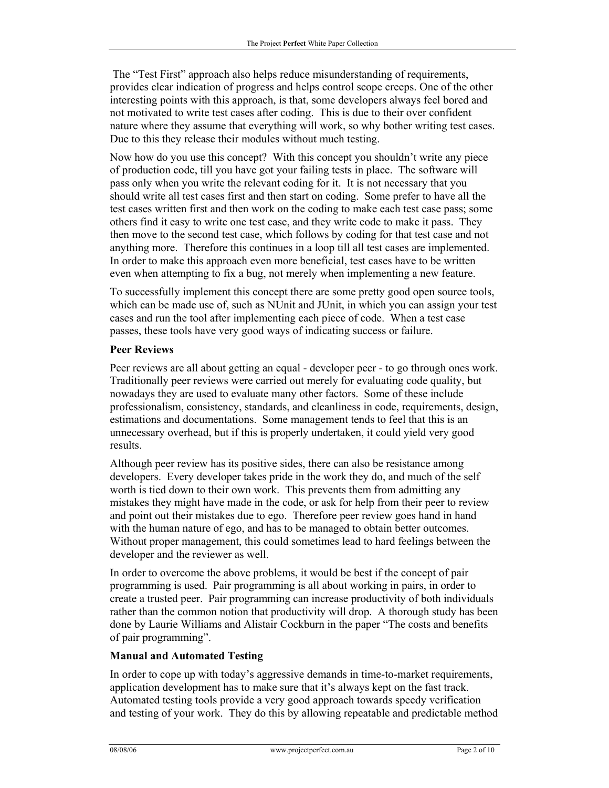The "Test First" approach also helps reduce misunderstanding of requirements, provides clear indication of progress and helps control scope creeps. One of the other interesting points with this approach, is that, some developers always feel bored and not motivated to write test cases after coding. This is due to their over confident nature where they assume that everything will work, so why bother writing test cases. Due to this they release their modules without much testing.

Now how do you use this concept? With this concept you shouldn't write any piece of production code, till you have got your failing tests in place. The software will pass only when you write the relevant coding for it. It is not necessary that you should write all test cases first and then start on coding. Some prefer to have all the test cases written first and then work on the coding to make each test case pass; some others find it easy to write one test case, and they write code to make it pass. They then move to the second test case, which follows by coding for that test case and not anything more. Therefore this continues in a loop till all test cases are implemented. In order to make this approach even more beneficial, test cases have to be written even when attempting to fix a bug, not merely when implementing a new feature.

To successfully implement this concept there are some pretty good open source tools, which can be made use of, such as NUnit and JUnit, in which you can assign your test cases and run the tool after implementing each piece of code. When a test case passes, these tools have very good ways of indicating success or failure.

#### **Peer Reviews**

Peer reviews are all about getting an equal - developer peer - to go through ones work. Traditionally peer reviews were carried out merely for evaluating code quality, but nowadays they are used to evaluate many other factors. Some of these include professionalism, consistency, standards, and cleanliness in code, requirements, design, estimations and documentations. Some management tends to feel that this is an unnecessary overhead, but if this is properly undertaken, it could yield very good results.

Although peer review has its positive sides, there can also be resistance among developers. Every developer takes pride in the work they do, and much of the self worth is tied down to their own work. This prevents them from admitting any mistakes they might have made in the code, or ask for help from their peer to review and point out their mistakes due to ego. Therefore peer review goes hand in hand with the human nature of ego, and has to be managed to obtain better outcomes. Without proper management, this could sometimes lead to hard feelings between the developer and the reviewer as well.

In order to overcome the above problems, it would be best if the concept of pair programming is used. Pair programming is all about working in pairs, in order to create a trusted peer. Pair programming can increase productivity of both individuals rather than the common notion that productivity will drop. A thorough study has been done by Laurie Williams and Alistair Cockburn in the paper "The costs and benefits of pair programming".

#### **Manual and Automated Testing**

In order to cope up with today's aggressive demands in time-to-market requirements, application development has to make sure that it's always kept on the fast track. Automated testing tools provide a very good approach towards speedy verification and testing of your work. They do this by allowing repeatable and predictable method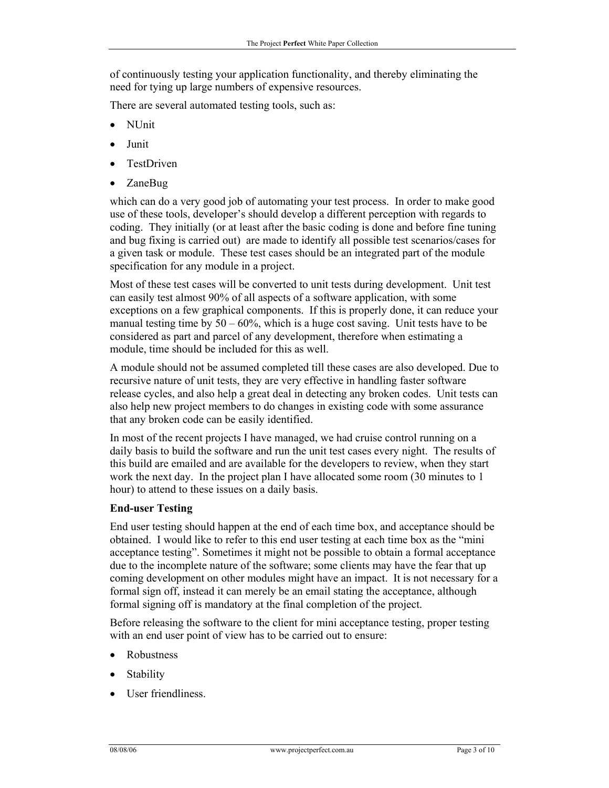of continuously testing your application functionality, and thereby eliminating the need for tying up large numbers of expensive resources.

There are several automated testing tools, such as:

- NUnit
- Junit
- TestDriven
- ZaneBug

which can do a very good job of automating your test process. In order to make good use of these tools, developer's should develop a different perception with regards to coding. They initially (or at least after the basic coding is done and before fine tuning and bug fixing is carried out) are made to identify all possible test scenarios/cases for a given task or module. These test cases should be an integrated part of the module specification for any module in a project.

Most of these test cases will be converted to unit tests during development. Unit test can easily test almost 90% of all aspects of a software application, with some exceptions on a few graphical components. If this is properly done, it can reduce your manual testing time by  $50 - 60\%$ , which is a huge cost saving. Unit tests have to be considered as part and parcel of any development, therefore when estimating a module, time should be included for this as well.

A module should not be assumed completed till these cases are also developed. Due to recursive nature of unit tests, they are very effective in handling faster software release cycles, and also help a great deal in detecting any broken codes. Unit tests can also help new project members to do changes in existing code with some assurance that any broken code can be easily identified.

In most of the recent projects I have managed, we had cruise control running on a daily basis to build the software and run the unit test cases every night. The results of this build are emailed and are available for the developers to review, when they start work the next day. In the project plan I have allocated some room (30 minutes to 1 hour) to attend to these issues on a daily basis.

## **End-user Testing**

End user testing should happen at the end of each time box, and acceptance should be obtained. I would like to refer to this end user testing at each time box as the "mini acceptance testing". Sometimes it might not be possible to obtain a formal acceptance due to the incomplete nature of the software; some clients may have the fear that up coming development on other modules might have an impact. It is not necessary for a formal sign off, instead it can merely be an email stating the acceptance, although formal signing off is mandatory at the final completion of the project.

Before releasing the software to the client for mini acceptance testing, proper testing with an end user point of view has to be carried out to ensure:

- Robustness
- **Stability**
- User friendliness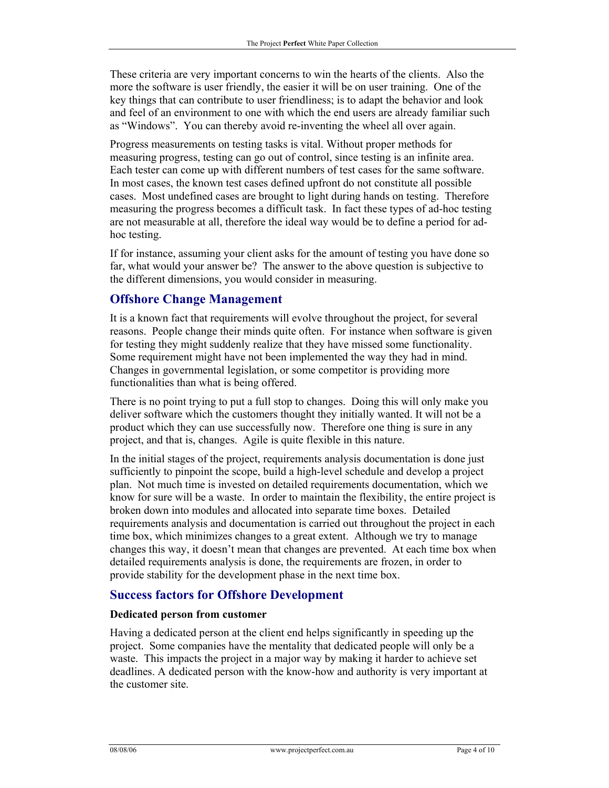These criteria are very important concerns to win the hearts of the clients. Also the more the software is user friendly, the easier it will be on user training. One of the key things that can contribute to user friendliness; is to adapt the behavior and look and feel of an environment to one with which the end users are already familiar such as "Windows". You can thereby avoid re-inventing the wheel all over again.

Progress measurements on testing tasks is vital. Without proper methods for measuring progress, testing can go out of control, since testing is an infinite area. Each tester can come up with different numbers of test cases for the same software. In most cases, the known test cases defined upfront do not constitute all possible cases. Most undefined cases are brought to light during hands on testing. Therefore measuring the progress becomes a difficult task. In fact these types of ad-hoc testing are not measurable at all, therefore the ideal way would be to define a period for adhoc testing.

If for instance, assuming your client asks for the amount of testing you have done so far, what would your answer be? The answer to the above question is subjective to the different dimensions, you would consider in measuring.

## **Offshore Change Management**

It is a known fact that requirements will evolve throughout the project, for several reasons. People change their minds quite often. For instance when software is given for testing they might suddenly realize that they have missed some functionality. Some requirement might have not been implemented the way they had in mind. Changes in governmental legislation, or some competitor is providing more functionalities than what is being offered.

There is no point trying to put a full stop to changes. Doing this will only make you deliver software which the customers thought they initially wanted. It will not be a product which they can use successfully now. Therefore one thing is sure in any project, and that is, changes. Agile is quite flexible in this nature.

In the initial stages of the project, requirements analysis documentation is done just sufficiently to pinpoint the scope, build a high-level schedule and develop a project plan. Not much time is invested on detailed requirements documentation, which we know for sure will be a waste. In order to maintain the flexibility, the entire project is broken down into modules and allocated into separate time boxes. Detailed requirements analysis and documentation is carried out throughout the project in each time box, which minimizes changes to a great extent. Although we try to manage changes this way, it doesn't mean that changes are prevented. At each time box when detailed requirements analysis is done, the requirements are frozen, in order to provide stability for the development phase in the next time box.

## **Success factors for Offshore Development**

#### **Dedicated person from customer**

Having a dedicated person at the client end helps significantly in speeding up the project. Some companies have the mentality that dedicated people will only be a waste. This impacts the project in a major way by making it harder to achieve set deadlines. A dedicated person with the know-how and authority is very important at the customer site.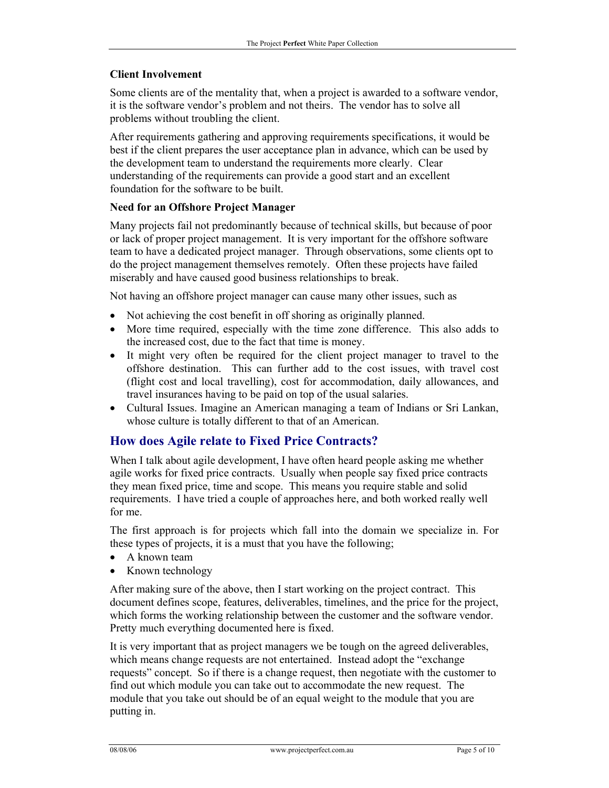## **Client Involvement**

Some clients are of the mentality that, when a project is awarded to a software vendor, it is the software vendor's problem and not theirs. The vendor has to solve all problems without troubling the client.

After requirements gathering and approving requirements specifications, it would be best if the client prepares the user acceptance plan in advance, which can be used by the development team to understand the requirements more clearly. Clear understanding of the requirements can provide a good start and an excellent foundation for the software to be built.

## **Need for an Offshore Project Manager**

Many projects fail not predominantly because of technical skills, but because of poor or lack of proper project management. It is very important for the offshore software team to have a dedicated project manager. Through observations, some clients opt to do the project management themselves remotely. Often these projects have failed miserably and have caused good business relationships to break.

Not having an offshore project manager can cause many other issues, such as

- Not achieving the cost benefit in off shoring as originally planned.
- More time required, especially with the time zone difference. This also adds to the increased cost, due to the fact that time is money.
- It might very often be required for the client project manager to travel to the offshore destination. This can further add to the cost issues, with travel cost (flight cost and local travelling), cost for accommodation, daily allowances, and travel insurances having to be paid on top of the usual salaries.
- Cultural Issues. Imagine an American managing a team of Indians or Sri Lankan, whose culture is totally different to that of an American.

## **How does Agile relate to Fixed Price Contracts?**

When I talk about agile development, I have often heard people asking me whether agile works for fixed price contracts. Usually when people say fixed price contracts they mean fixed price, time and scope. This means you require stable and solid requirements. I have tried a couple of approaches here, and both worked really well for me.

The first approach is for projects which fall into the domain we specialize in. For these types of projects, it is a must that you have the following;

- A known team
- Known technology

After making sure of the above, then I start working on the project contract. This document defines scope, features, deliverables, timelines, and the price for the project, which forms the working relationship between the customer and the software vendor. Pretty much everything documented here is fixed.

It is very important that as project managers we be tough on the agreed deliverables, which means change requests are not entertained. Instead adopt the "exchange requests" concept. So if there is a change request, then negotiate with the customer to find out which module you can take out to accommodate the new request. The module that you take out should be of an equal weight to the module that you are putting in.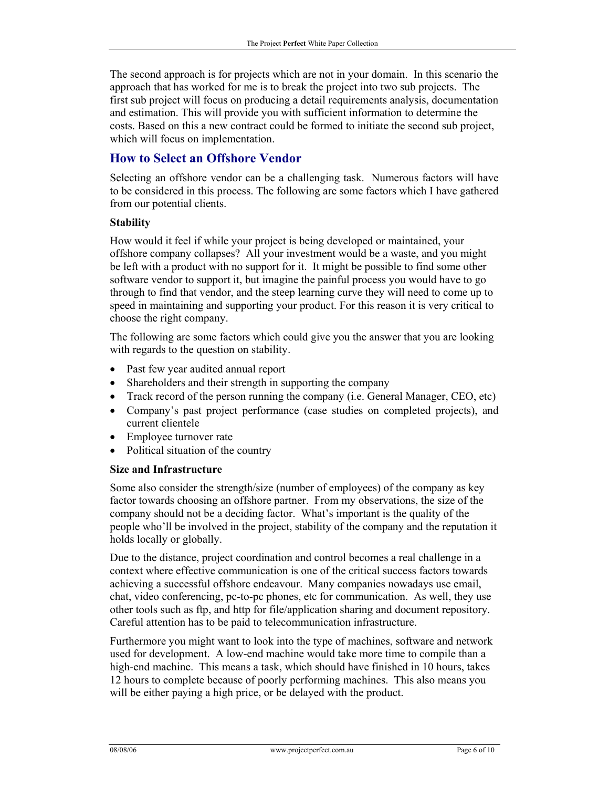The second approach is for projects which are not in your domain. In this scenario the approach that has worked for me is to break the project into two sub projects. The first sub project will focus on producing a detail requirements analysis, documentation and estimation. This will provide you with sufficient information to determine the costs. Based on this a new contract could be formed to initiate the second sub project, which will focus on implementation.

# **How to Select an Offshore Vendor**

Selecting an offshore vendor can be a challenging task. Numerous factors will have to be considered in this process. The following are some factors which I have gathered from our potential clients.

## **Stability**

How would it feel if while your project is being developed or maintained, your offshore company collapses? All your investment would be a waste, and you might be left with a product with no support for it. It might be possible to find some other software vendor to support it, but imagine the painful process you would have to go through to find that vendor, and the steep learning curve they will need to come up to speed in maintaining and supporting your product. For this reason it is very critical to choose the right company.

The following are some factors which could give you the answer that you are looking with regards to the question on stability.

- Past few year audited annual report
- Shareholders and their strength in supporting the company
- Track record of the person running the company (i.e. General Manager, CEO, etc)
- Company's past project performance (case studies on completed projects), and current clientele
- Employee turnover rate
- Political situation of the country

#### **Size and Infrastructure**

Some also consider the strength/size (number of employees) of the company as key factor towards choosing an offshore partner. From my observations, the size of the company should not be a deciding factor. What's important is the quality of the people who'll be involved in the project, stability of the company and the reputation it holds locally or globally.

Due to the distance, project coordination and control becomes a real challenge in a context where effective communication is one of the critical success factors towards achieving a successful offshore endeavour. Many companies nowadays use email, chat, video conferencing, pc-to-pc phones, etc for communication. As well, they use other tools such as ftp, and http for file/application sharing and document repository. Careful attention has to be paid to telecommunication infrastructure.

Furthermore you might want to look into the type of machines, software and network used for development. A low-end machine would take more time to compile than a high-end machine. This means a task, which should have finished in 10 hours, takes 12 hours to complete because of poorly performing machines. This also means you will be either paying a high price, or be delayed with the product.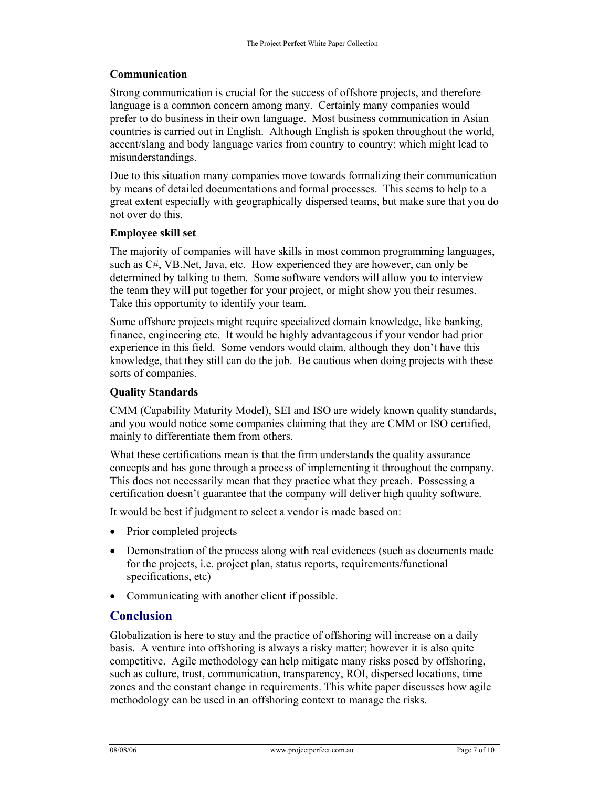#### **Communication**

Strong communication is crucial for the success of offshore projects, and therefore language is a common concern among many. Certainly many companies would prefer to do business in their own language. Most business communication in Asian countries is carried out in English. Although English is spoken throughout the world, accent/slang and body language varies from country to country; which might lead to misunderstandings.

Due to this situation many companies move towards formalizing their communication by means of detailed documentations and formal processes. This seems to help to a great extent especially with geographically dispersed teams, but make sure that you do not over do this.

#### **Employee skill set**

The majority of companies will have skills in most common programming languages, such as C#, VB.Net, Java, etc. How experienced they are however, can only be determined by talking to them. Some software vendors will allow you to interview the team they will put together for your project, or might show you their resumes. Take this opportunity to identify your team.

Some offshore projects might require specialized domain knowledge, like banking, finance, engineering etc. It would be highly advantageous if your vendor had prior experience in this field. Some vendors would claim, although they don't have this knowledge, that they still can do the job. Be cautious when doing projects with these sorts of companies.

#### **Quality Standards**

CMM (Capability Maturity Model), SEI and ISO are widely known quality standards, and you would notice some companies claiming that they are CMM or ISO certified, mainly to differentiate them from others.

What these certifications mean is that the firm understands the quality assurance concepts and has gone through a process of implementing it throughout the company. This does not necessarily mean that they practice what they preach. Possessing a certification doesn't guarantee that the company will deliver high quality software.

It would be best if judgment to select a vendor is made based on:

- Prior completed projects
- Demonstration of the process along with real evidences (such as documents made for the projects, i.e. project plan, status reports, requirements/functional specifications, etc)
- Communicating with another client if possible.

## **Conclusion**

Globalization is here to stay and the practice of offshoring will increase on a daily basis. A venture into offshoring is always a risky matter; however it is also quite competitive. Agile methodology can help mitigate many risks posed by offshoring, such as culture, trust, communication, transparency, ROI, dispersed locations, time zones and the constant change in requirements. This white paper discusses how agile methodology can be used in an offshoring context to manage the risks.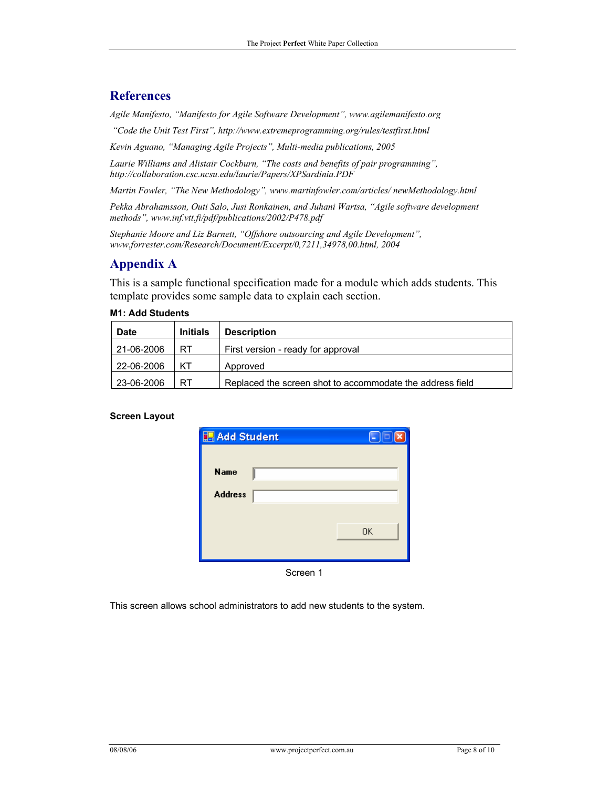# **References**

*Agile Manifesto, "Manifesto for Agile Software Development", www.agilemanifesto.org* 

 *"Code the Unit Test First", http://www.extremeprogramming.org/rules/testfirst.html* 

*Kevin Aguano, "Managing Agile Projects", Multi-media publications, 2005* 

*Laurie Williams and Alistair Cockburn, "The costs and benefits of pair programming", http://collaboration.csc.ncsu.edu/laurie/Papers/XPSardinia.PDF* 

*Martin Fowler, "The New Methodology", www.martinfowler.com/articles/ newMethodology.html* 

*Pekka Abrahamsson, Outi Salo, Jusi Ronkainen, and Juhani Wartsa, "Agile software development methods", www.inf.vtt.fi/pdf/publications/2002/P478.pdf* 

*Stephanie Moore and Liz Barnett, "Offshore outsourcing and Agile Development", www.forrester.com/Research/Document/Excerpt/0,7211,34978,00.html, 2004* 

# **Appendix A**

This is a sample functional specification made for a module which adds students. This template provides some sample data to explain each section.

| <b>Date</b> | <b>Initials</b> | <b>Description</b>                                        |
|-------------|-----------------|-----------------------------------------------------------|
| 21-06-2006  | RT              | First version - ready for approval                        |
| 22-06-2006  | KТ              | Approved                                                  |
| 23-06-2006  | RT              | Replaced the screen shot to accommodate the address field |

#### **M1: Add Students**

#### **Screen Layout**

| <b>In Add Student</b> | н         |
|-----------------------|-----------|
| <b>Name</b>           |           |
| <b>Address</b>        |           |
|                       |           |
|                       | <b>OK</b> |
| Screen 1              |           |

This screen allows school administrators to add new students to the system.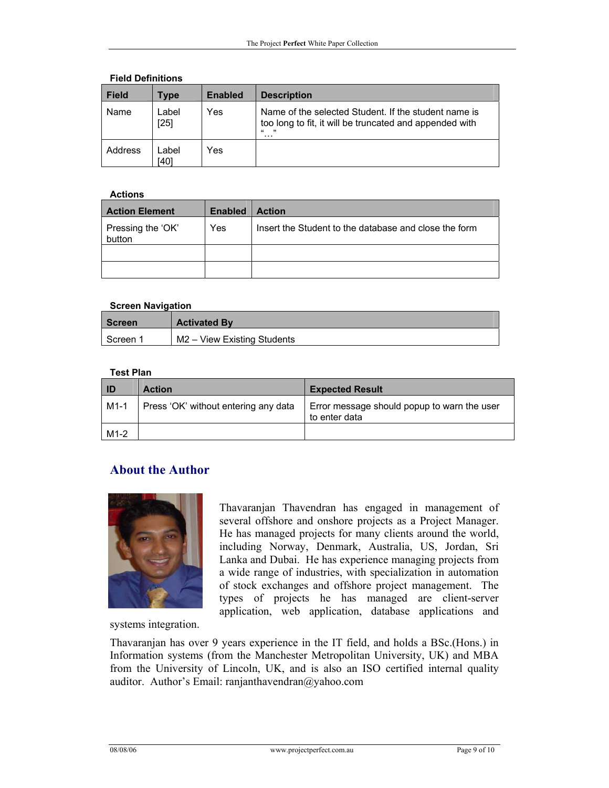| <b>Field</b> | Type            | <b>Enabled</b> | <b>Description</b>                                                                                                                 |  |  |
|--------------|-----------------|----------------|------------------------------------------------------------------------------------------------------------------------------------|--|--|
| Name         | Label<br>$[25]$ | Yes            | Name of the selected Student. If the student name is<br>too long to fit, it will be truncated and appended with<br>$\epsilon$<br>. |  |  |
| Address      | _abel<br>[40]   | Yes            |                                                                                                                                    |  |  |

#### **Field Definitions**

#### **Actions**

| <b>Action Element</b>       | <b>Enabled</b> | <b>Action</b>                                         |
|-----------------------------|----------------|-------------------------------------------------------|
| Pressing the 'OK'<br>button | Yes            | Insert the Student to the database and close the form |
|                             |                |                                                       |
|                             |                |                                                       |

#### **Screen Navigation**

| <b>Screen</b> | <b>Activated By</b>         |  |
|---------------|-----------------------------|--|
| Screen 1      | M2 - View Existing Students |  |

#### **Test Plan**

| ID     | <b>Action</b>                        | <b>Expected Result</b>                                       |
|--------|--------------------------------------|--------------------------------------------------------------|
| $M1-1$ | Press 'OK' without entering any data | Error message should popup to warn the user<br>to enter data |
| $M1-2$ |                                      |                                                              |

## **About the Author**



several offshore and onshore projects as a Project Manager. He has managed projects for many clients around the world, including Norway, Denmark, Australia, US, Jordan, Sri Lanka and Dubai. He has experience managing projects from a wide range of industries, with specialization in automation of stock exchanges and offshore project management. The types of projects he has managed are client-server application, web application, database applications and

Thavaranjan Thavendran has engaged in management of

systems integration.

Thavaranjan has over 9 years experience in the IT field, and holds a BSc.(Hons.) in Information systems (from the Manchester Metropolitan University, UK) and MBA from the University of Lincoln, UK, and is also an ISO certified internal quality auditor. Author's Email: ranjanthavendran@yahoo.com